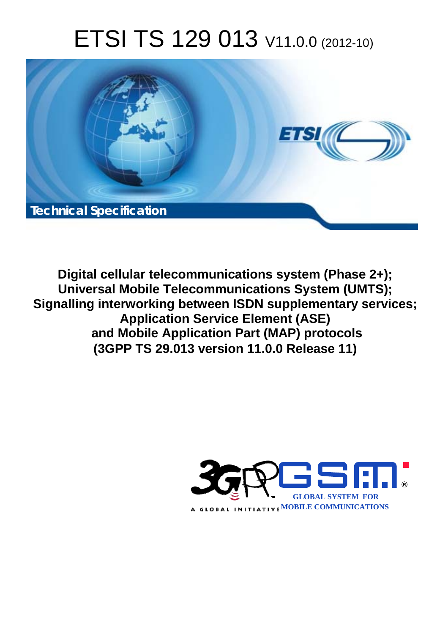# ETSI TS 129 013 V11.0.0 (2012-10)



**Digital cellular telecommunications system (Phase 2+); Universal Mobile Telecommunications System (UMTS); Signalling interworking between ISDN supplementary services; Application Service Element (ASE) and Mobile Application Part (MAP) protocols (3GPP TS 29.013 version 11.0.0 Release 11)** 

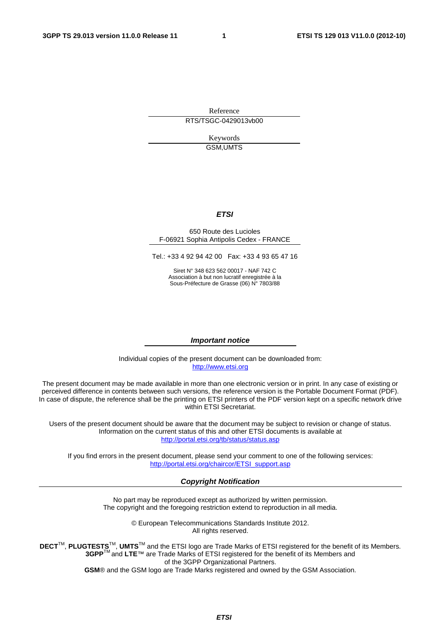Reference RTS/TSGC-0429013vb00

> Keywords GSM,UMTS

#### *ETSI*

#### 650 Route des Lucioles F-06921 Sophia Antipolis Cedex - FRANCE

Tel.: +33 4 92 94 42 00 Fax: +33 4 93 65 47 16

Siret N° 348 623 562 00017 - NAF 742 C Association à but non lucratif enregistrée à la Sous-Préfecture de Grasse (06) N° 7803/88

#### *Important notice*

Individual copies of the present document can be downloaded from: [http://www.etsi.org](http://www.etsi.org/)

The present document may be made available in more than one electronic version or in print. In any case of existing or perceived difference in contents between such versions, the reference version is the Portable Document Format (PDF). In case of dispute, the reference shall be the printing on ETSI printers of the PDF version kept on a specific network drive within ETSI Secretariat.

Users of the present document should be aware that the document may be subject to revision or change of status. Information on the current status of this and other ETSI documents is available at <http://portal.etsi.org/tb/status/status.asp>

If you find errors in the present document, please send your comment to one of the following services: [http://portal.etsi.org/chaircor/ETSI\\_support.asp](http://portal.etsi.org/chaircor/ETSI_support.asp)

#### *Copyright Notification*

No part may be reproduced except as authorized by written permission. The copyright and the foregoing restriction extend to reproduction in all media.

> © European Telecommunications Standards Institute 2012. All rights reserved.

DECT<sup>™</sup>, PLUGTESTS<sup>™</sup>, UMTS<sup>™</sup> and the ETSI logo are Trade Marks of ETSI registered for the benefit of its Members. **3GPP**TM and **LTE**™ are Trade Marks of ETSI registered for the benefit of its Members and of the 3GPP Organizational Partners.

**GSM**® and the GSM logo are Trade Marks registered and owned by the GSM Association.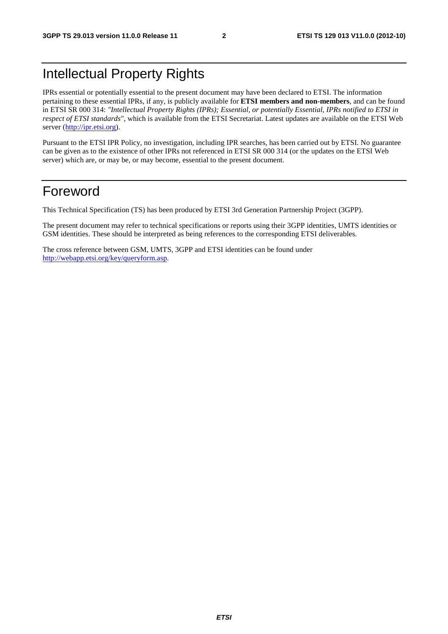## Intellectual Property Rights

IPRs essential or potentially essential to the present document may have been declared to ETSI. The information pertaining to these essential IPRs, if any, is publicly available for **ETSI members and non-members**, and can be found in ETSI SR 000 314: *"Intellectual Property Rights (IPRs); Essential, or potentially Essential, IPRs notified to ETSI in respect of ETSI standards"*, which is available from the ETSI Secretariat. Latest updates are available on the ETSI Web server ([http://ipr.etsi.org\).](http://webapp.etsi.org/IPR/home.asp)

Pursuant to the ETSI IPR Policy, no investigation, including IPR searches, has been carried out by ETSI. No guarantee can be given as to the existence of other IPRs not referenced in ETSI SR 000 314 (or the updates on the ETSI Web server) which are, or may be, or may become, essential to the present document.

## Foreword

This Technical Specification (TS) has been produced by ETSI 3rd Generation Partnership Project (3GPP).

The present document may refer to technical specifications or reports using their 3GPP identities, UMTS identities or GSM identities. These should be interpreted as being references to the corresponding ETSI deliverables.

The cross reference between GSM, UMTS, 3GPP and ETSI identities can be found under [http://webapp.etsi.org/key/queryform.asp.](http://webapp.etsi.org/key/queryform.asp)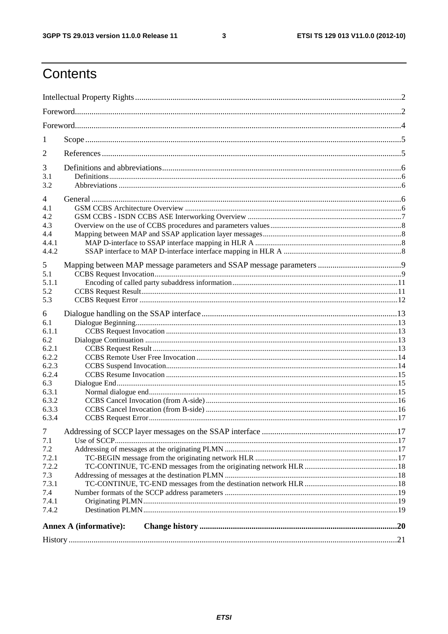$\mathbf{3}$ 

## Contents

| 1                                               |                               |  |  |
|-------------------------------------------------|-------------------------------|--|--|
| 2                                               |                               |  |  |
| 3<br>3.1<br>3.2                                 |                               |  |  |
| 4<br>4.1<br>4.2<br>4.3<br>4.4<br>4.4.1<br>4.4.2 |                               |  |  |
| 5<br>5.1<br>5.1.1<br>5.2<br>5.3                 |                               |  |  |
| 6<br>6.1<br>6.1.1<br>6.2                        |                               |  |  |
| 6.2.1<br>6.2.2<br>6.2.3                         |                               |  |  |
| 6.2.4<br>6.3<br>6.3.1<br>6.3.2<br>6.3.3         |                               |  |  |
| 6.3.4<br>$\tau$                                 |                               |  |  |
| 7.1<br>7.2<br>7.2.1<br>7.2.2                    |                               |  |  |
| 7.3<br>7.3.1<br>7.4<br>7.4.1                    |                               |  |  |
| 7.4.2                                           | <b>Annex A (informative):</b> |  |  |
|                                                 |                               |  |  |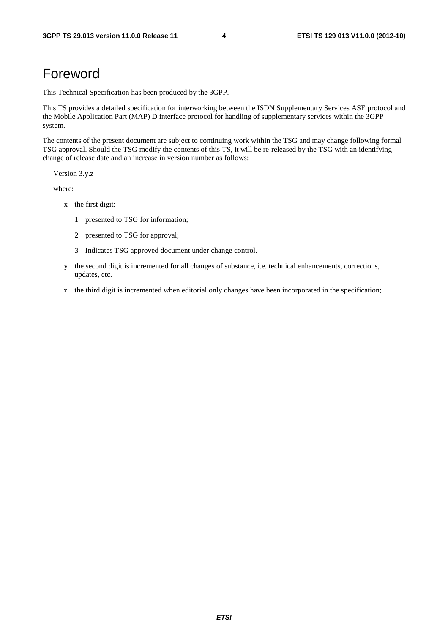## Foreword

This Technical Specification has been produced by the 3GPP.

This TS provides a detailed specification for interworking between the ISDN Supplementary Services ASE protocol and the Mobile Application Part (MAP) D interface protocol for handling of supplementary services within the 3GPP system.

The contents of the present document are subject to continuing work within the TSG and may change following formal TSG approval. Should the TSG modify the contents of this TS, it will be re-released by the TSG with an identifying change of release date and an increase in version number as follows:

Version 3.y.z

where:

- x the first digit:
	- 1 presented to TSG for information;
	- 2 presented to TSG for approval;
	- 3 Indicates TSG approved document under change control.
- y the second digit is incremented for all changes of substance, i.e. technical enhancements, corrections, updates, etc.
- z the third digit is incremented when editorial only changes have been incorporated in the specification;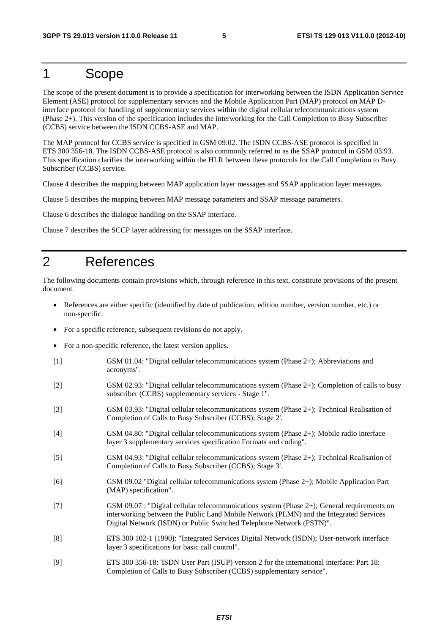## 1 Scope

The scope of the present document is to provide a specification for interworking between the ISDN Application Service Element (ASE) protocol for supplementary services and the Mobile Application Part (MAP) protocol on MAP Dinterface protocol for handling of supplementary services within the digital cellular telecommunications system (Phase 2+). This version of the specification includes the interworking for the Call Completion to Busy Subscriber (CCBS) service between the ISDN CCBS-ASE and MAP.

The MAP protocol for CCBS service is specified in GSM 09.02. The ISDN CCBS-ASE protocol is specified in ETS 300 356-18. The ISDN CCBS-ASE protocol is also commonly referred to as the SSAP protocol in GSM 03.93. This specification clarifies the interworking within the HLR between these protocols for the Call Completion to Busy Subscriber (CCBS) service.

Clause 4 describes the mapping between MAP application layer messages and SSAP application layer messages.

Clause 5 describes the mapping between MAP message parameters and SSAP message parameters.

Clause 6 describes the dialogue handling on the SSAP interface.

Clause 7 describes the SCCP layer addressing for messages on the SSAP interface.

## 2 References

The following documents contain provisions which, through reference in this text, constitute provisions of the present document.

- References are either specific (identified by date of publication, edition number, version number, etc.) or non-specific.
- For a specific reference, subsequent revisions do not apply.
- For a non-specific reference, the latest version applies.
- [1] GSM 01.04: "Digital cellular telecommunications system (Phase 2+); Abbreviations and acronyms".
- [2] GSM 02.93: "Digital cellular telecommunications system (Phase 2+); Completion of calls to busy subscriber (CCBS) supplementary services - Stage 1".
- [3] GSM 03.93: "Digital cellular telecommunications system (Phase 2+); Technical Realisation of Completion of Calls to Busy Subscriber (CCBS); Stage 2'.
- [4] GSM 04.80: "Digital cellular telecommunications system (Phase 2+); Mobile radio interface layer 3 supplementary services specification Formats and coding".
- [5] GSM 04.93: "Digital cellular telecommunications system (Phase 2+); Technical Realisation of Completion of Calls to Busy Subscriber (CCBS); Stage 3'.
- [6] GSM 09.02 "Digital cellular telecommunications system (Phase 2+); Mobile Application Part (MAP) specification".
- [7] GSM 09.07 : "Digital cellular telecommunications system (Phase 2+); General requirements on interworking between the Public Land Mobile Network (PLMN) and the Integrated Services Digital Network (ISDN) or Public Switched Telephone Network (PSTN)".
- [8] ETS 300 102-1 (1990): "Integrated Services Digital Network (ISDN); User-network interface layer 3 specifications for basic call control".
- [9] ETS 300 356-18: 'ISDN User Part (ISUP) version 2 for the international interface: Part 18: Completion of Calls to Busy Subscriber (CCBS) supplementary service".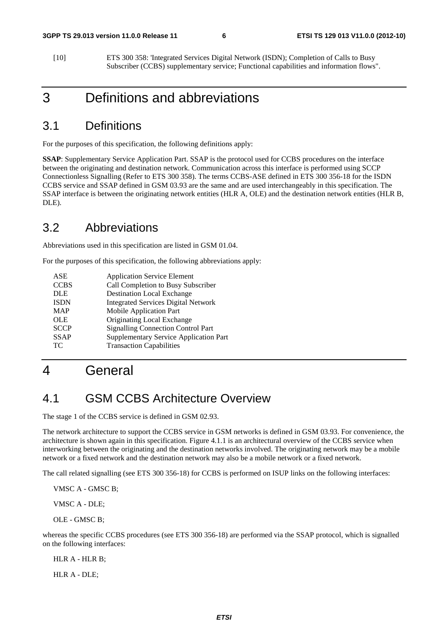[10] ETS 300 358: 'Integrated Services Digital Network (ISDN); Completion of Calls to Busy Subscriber (CCBS) supplementary service; Functional capabilities and information flows".

## 3 Definitions and abbreviations

## 3.1 Definitions

For the purposes of this specification, the following definitions apply:

**SSAP**: Supplementary Service Application Part. SSAP is the protocol used for CCBS procedures on the interface between the originating and destination network. Communication across this interface is performed using SCCP Connectionless Signalling (Refer to ETS 300 358). The terms CCBS-ASE defined in ETS 300 356-18 for the ISDN CCBS service and SSAP defined in GSM 03.93 are the same and are used interchangeably in this specification. The SSAP interface is between the originating network entities (HLR A, OLE) and the destination network entities (HLR B, DLE).

## 3.2 Abbreviations

Abbreviations used in this specification are listed in GSM 01.04.

For the purposes of this specification, the following abbreviations apply:

| <b>Application Service Element</b>            |
|-----------------------------------------------|
| Call Completion to Busy Subscriber            |
| <b>Destination Local Exchange</b>             |
| <b>Integrated Services Digital Network</b>    |
| Mobile Application Part                       |
| Originating Local Exchange                    |
| <b>Signalling Connection Control Part</b>     |
| <b>Supplementary Service Application Part</b> |
| <b>Transaction Capabilities</b>               |
|                                               |

## 4 General

### 4.1 GSM CCBS Architecture Overview

The stage 1 of the CCBS service is defined in GSM 02.93.

The network architecture to support the CCBS service in GSM networks is defined in GSM 03.93. For convenience, the architecture is shown again in this specification. Figure 4.1.1 is an architectural overview of the CCBS service when interworking between the originating and the destination networks involved. The originating network may be a mobile network or a fixed network and the destination network may also be a mobile network or a fixed network.

The call related signalling (see ETS 300 356-18) for CCBS is performed on ISUP links on the following interfaces:

VMSC A - GMSC B;

VMSC A - DLE;

OLE - GMSC B;

whereas the specific CCBS procedures (see ETS 300 356-18) are performed via the SSAP protocol, which is signalled on the following interfaces:

HLR A - HLR B;

HLR A - DLE;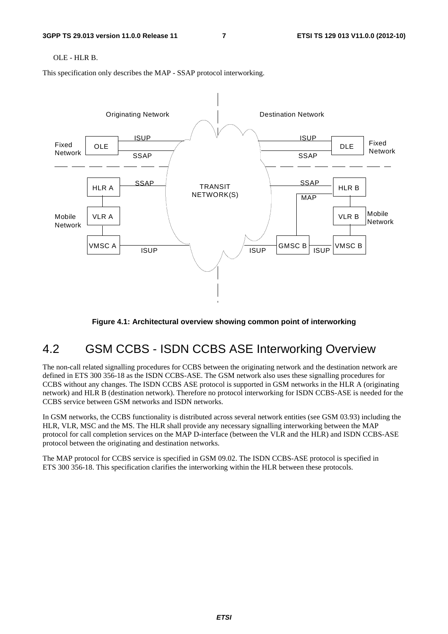#### OLE - HLR B.

This specification only describes the MAP - SSAP protocol interworking.



#### **Figure 4.1: Architectural overview showing common point of interworking**

## 4.2 GSM CCBS - ISDN CCBS ASE Interworking Overview

The non-call related signalling procedures for CCBS between the originating network and the destination network are defined in ETS 300 356-18 as the ISDN CCBS-ASE. The GSM network also uses these signalling procedures for CCBS without any changes. The ISDN CCBS ASE protocol is supported in GSM networks in the HLR A (originating network) and HLR B (destination network). Therefore no protocol interworking for ISDN CCBS-ASE is needed for the CCBS service between GSM networks and ISDN networks.

In GSM networks, the CCBS functionality is distributed across several network entities (see GSM 03.93) including the HLR, VLR, MSC and the MS. The HLR shall provide any necessary signalling interworking between the MAP protocol for call completion services on the MAP D-interface (between the VLR and the HLR) and ISDN CCBS-ASE protocol between the originating and destination networks.

The MAP protocol for CCBS service is specified in GSM 09.02. The ISDN CCBS-ASE protocol is specified in ETS 300 356-18. This specification clarifies the interworking within the HLR between these protocols.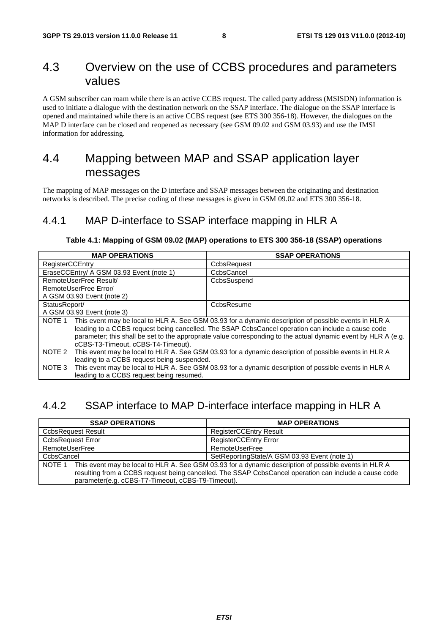## 4.3 Overview on the use of CCBS procedures and parameters values

A GSM subscriber can roam while there is an active CCBS request. The called party address (MSISDN) information is used to initiate a dialogue with the destination network on the SSAP interface. The dialogue on the SSAP interface is opened and maintained while there is an active CCBS request (see ETS 300 356-18). However, the dialogues on the MAP D interface can be closed and reopened as necessary (see GSM 09.02 and GSM 03.93) and use the IMSI information for addressing.

## 4.4 Mapping between MAP and SSAP application layer messages

The mapping of MAP messages on the D interface and SSAP messages between the originating and destination networks is described. The precise coding of these messages is given in GSM 09.02 and ETS 300 356-18.

### 4.4.1 MAP D-interface to SSAP interface mapping in HLR A

#### **Table 4.1: Mapping of GSM 09.02 (MAP) operations to ETS 300 356-18 (SSAP) operations**

| <b>MAP OPERATIONS</b>                                                                                          | <b>SSAP OPERATIONS</b>                                                                                |  |  |
|----------------------------------------------------------------------------------------------------------------|-------------------------------------------------------------------------------------------------------|--|--|
| RegisterCCEntry                                                                                                | CcbsRequest                                                                                           |  |  |
| EraseCCEntry/ A GSM 03.93 Event (note 1)                                                                       | CcbsCancel                                                                                            |  |  |
| RemoteUserFree Result/                                                                                         | CcbsSuspend                                                                                           |  |  |
| RemoteUserFree Error/                                                                                          |                                                                                                       |  |  |
| A GSM 03.93 Event (note 2)                                                                                     |                                                                                                       |  |  |
| StatusReport/                                                                                                  | CcbsResume                                                                                            |  |  |
| A GSM 03.93 Event (note 3)                                                                                     |                                                                                                       |  |  |
| NOTE 1                                                                                                         | This event may be local to HLR A. See GSM 03.93 for a dynamic description of possible events in HLR A |  |  |
|                                                                                                                | leading to a CCBS request being cancelled. The SSAP CcbsCancel operation can include a cause code     |  |  |
| parameter; this shall be set to the appropriate value corresponding to the actual dynamic event by HLR A (e.g. |                                                                                                       |  |  |
| cCBS-T3-Timeout, cCBS-T4-Timeout).                                                                             |                                                                                                       |  |  |
| NOTE 2                                                                                                         | This event may be local to HLR A. See GSM 03.93 for a dynamic description of possible events in HLR A |  |  |
| leading to a CCBS request being suspended.                                                                     |                                                                                                       |  |  |
| NOTE 3                                                                                                         | This event may be local to HLR A. See GSM 03.93 for a dynamic description of possible events in HLR A |  |  |
| leading to a CCBS request being resumed.                                                                       |                                                                                                       |  |  |

### 4.4.2 SSAP interface to MAP D-interface interface mapping in HLR A

| <b>SSAP OPERATIONS</b>                                                                                                                                                                                                                                                        | <b>MAP OPERATIONS</b>                        |  |
|-------------------------------------------------------------------------------------------------------------------------------------------------------------------------------------------------------------------------------------------------------------------------------|----------------------------------------------|--|
| <b>CcbsRequest Result</b>                                                                                                                                                                                                                                                     | <b>RegisterCCEntry Result</b>                |  |
| <b>CcbsRequest Error</b>                                                                                                                                                                                                                                                      | RegisterCCEntry Error                        |  |
| RemoteUserFree                                                                                                                                                                                                                                                                | RemoteUserFree                               |  |
| CcbsCancel                                                                                                                                                                                                                                                                    | SetReportingState/A GSM 03.93 Event (note 1) |  |
| This event may be local to HLR A. See GSM 03.93 for a dynamic description of possible events in HLR A<br>NOTE 1<br>resulting from a CCBS request being cancelled. The SSAP CcbsCancel operation can include a cause code<br>parameter(e.g. cCBS-T7-Timeout, cCBS-T9-Timeout). |                                              |  |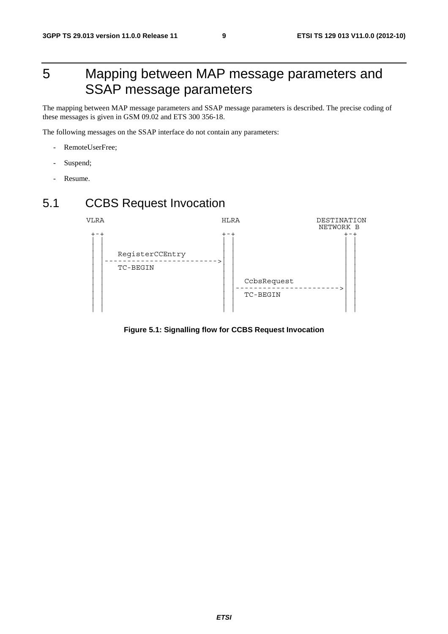## 5 Mapping between MAP message parameters and SSAP message parameters

The mapping between MAP message parameters and SSAP message parameters is described. The precise coding of these messages is given in GSM 09.02 and ETS 300 356-18.

The following messages on the SSAP interface do not contain any parameters:

- RemoteUserFree;
- Suspend;
- Resume.

## 5.1 CCBS Request Invocation



**Figure 5.1: Signalling flow for CCBS Request Invocation**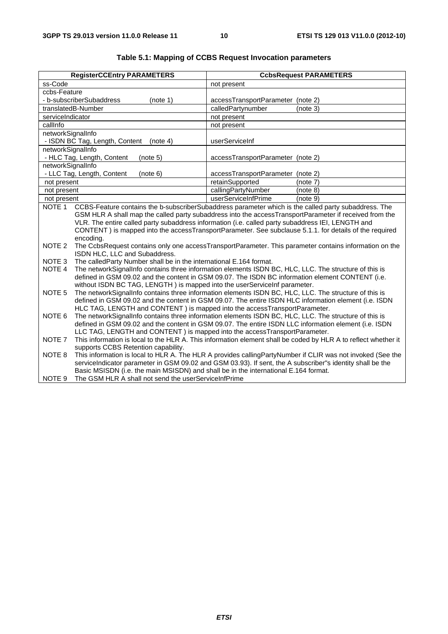| <b>RegisterCCEntry PARAMETERS</b>                                                                                                                                                                                                                                                                     | <b>CcbsRequest PARAMETERS</b>                                                                                                                                                                                                                                                                                                                                          |  |  |
|-------------------------------------------------------------------------------------------------------------------------------------------------------------------------------------------------------------------------------------------------------------------------------------------------------|------------------------------------------------------------------------------------------------------------------------------------------------------------------------------------------------------------------------------------------------------------------------------------------------------------------------------------------------------------------------|--|--|
| ss-Code                                                                                                                                                                                                                                                                                               | not present                                                                                                                                                                                                                                                                                                                                                            |  |  |
| ccbs-Feature                                                                                                                                                                                                                                                                                          |                                                                                                                                                                                                                                                                                                                                                                        |  |  |
| - b-subscriberSubaddress<br>(note 1)                                                                                                                                                                                                                                                                  | accessTransportParameter (note 2)                                                                                                                                                                                                                                                                                                                                      |  |  |
| translatedB-Number                                                                                                                                                                                                                                                                                    | calledPartynumber<br>(note 3)                                                                                                                                                                                                                                                                                                                                          |  |  |
| serviceIndicator                                                                                                                                                                                                                                                                                      | not present                                                                                                                                                                                                                                                                                                                                                            |  |  |
| callInfo                                                                                                                                                                                                                                                                                              | not present                                                                                                                                                                                                                                                                                                                                                            |  |  |
| networkSignalInfo                                                                                                                                                                                                                                                                                     |                                                                                                                                                                                                                                                                                                                                                                        |  |  |
| - ISDN BC Tag, Length, Content<br>(note 4)                                                                                                                                                                                                                                                            | userServiceInf                                                                                                                                                                                                                                                                                                                                                         |  |  |
| networkSignalInfo                                                                                                                                                                                                                                                                                     |                                                                                                                                                                                                                                                                                                                                                                        |  |  |
| - HLC Tag, Length, Content<br>(note 5)                                                                                                                                                                                                                                                                | accessTransportParameter (note 2)                                                                                                                                                                                                                                                                                                                                      |  |  |
| networkSignalInfo                                                                                                                                                                                                                                                                                     |                                                                                                                                                                                                                                                                                                                                                                        |  |  |
| - LLC Tag, Length, Content<br>(note 6)                                                                                                                                                                                                                                                                | accessTransportParameter (note 2)                                                                                                                                                                                                                                                                                                                                      |  |  |
| not present                                                                                                                                                                                                                                                                                           | retainSupported<br>(note 7)                                                                                                                                                                                                                                                                                                                                            |  |  |
| not present                                                                                                                                                                                                                                                                                           | callingPartyNumber<br>(note 8)                                                                                                                                                                                                                                                                                                                                         |  |  |
| not present<br>NOTE <sub>1</sub>                                                                                                                                                                                                                                                                      | userServiceInfPrime<br>(note 9)<br>CCBS-Feature contains the b-subscriberSubaddress parameter which is the called party subaddress. The                                                                                                                                                                                                                                |  |  |
| encoding.                                                                                                                                                                                                                                                                                             | GSM HLR A shall map the called party subaddress into the accessTransportParameter if received from the<br>VLR. The entire called party subaddress information (i.e. called party subaddress IEI, LENGTH and<br>CONTENT) is mapped into the accessTransportParameter. See subclause 5.1.1. for details of the required                                                  |  |  |
| NOTE 2<br>ISDN HLC, LLC and Subaddress.                                                                                                                                                                                                                                                               | The CcbsRequest contains only one accessTransportParameter. This parameter contains information on the                                                                                                                                                                                                                                                                 |  |  |
| NOTE <sub>3</sub>                                                                                                                                                                                                                                                                                     | The called Party Number shall be in the international E.164 format.                                                                                                                                                                                                                                                                                                    |  |  |
| NOTE 4                                                                                                                                                                                                                                                                                                | The networkSignalInfo contains three information elements ISDN BC, HLC, LLC. The structure of this is<br>defined in GSM 09.02 and the content in GSM 09.07. The ISDN BC information element CONTENT (i.e.<br>without ISDN BC TAG, LENGTH) is mapped into the userServiceInf parameter.                                                                                 |  |  |
| The networkSignalInfo contains three information elements ISDN BC, HLC, LLC. The structure of this is<br>NOTE 5<br>defined in GSM 09.02 and the content in GSM 09.07. The entire ISDN HLC information element (i.e. ISDN<br>HLC TAG, LENGTH and CONTENT) is mapped into the accessTransportParameter. |                                                                                                                                                                                                                                                                                                                                                                        |  |  |
| The networkSignalInfo contains three information elements ISDN BC, HLC, LLC. The structure of this is<br>NOTE 6<br>defined in GSM 09.02 and the content in GSM 09.07. The entire ISDN LLC information element (i.e. ISDN<br>LLC TAG, LENGTH and CONTENT) is mapped into the accessTransportParameter. |                                                                                                                                                                                                                                                                                                                                                                        |  |  |
| NOTE <sub>7</sub><br>supports CCBS Retention capability.                                                                                                                                                                                                                                              | This information is local to the HLR A. This information element shall be coded by HLR A to reflect whether it                                                                                                                                                                                                                                                         |  |  |
| NOTE 8<br>NOTE <sub>9</sub>                                                                                                                                                                                                                                                                           | This information is local to HLR A. The HLR A provides callingPartyNumber if CLIR was not invoked (See the<br>serviceIndicator parameter in GSM 09.02 and GSM 03.93). If sent, the A subscriber"s identity shall be the<br>Basic MSISDN (i.e. the main MSISDN) and shall be in the international E.164 format.<br>The GSM HLR A shall not send the userServiceInfPrime |  |  |

#### **Table 5.1: Mapping of CCBS Request Invocation parameters**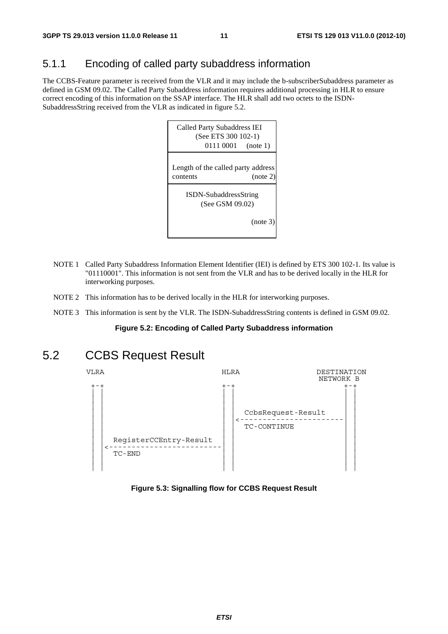## 5.1.1 Encoding of called party subaddress information

The CCBS-Feature parameter is received from the VLR and it may include the b-subscriberSubaddress parameter as defined in GSM 09.02. The Called Party Subaddress information requires additional processing in HLR to ensure correct encoding of this information on the SSAP interface. The HLR shall add two octets to the ISDN-SubaddressString received from the VLR as indicated in figure 5.2.



- NOTE 1 Called Party Subaddress Information Element Identifier (IEI) is defined by ETS 300 102-1. Its value is "01110001". This information is not sent from the VLR and has to be derived locally in the HLR for interworking purposes.
- NOTE 2 This information has to be derived locally in the HLR for interworking purposes.
- NOTE 3 This information is sent by the VLR. The ISDN-SubaddressString contents is defined in GSM 09.02.

#### **Figure 5.2: Encoding of Called Party Subaddress information**

## 5.2 CCBS Request Result



#### **Figure 5.3: Signalling flow for CCBS Request Result**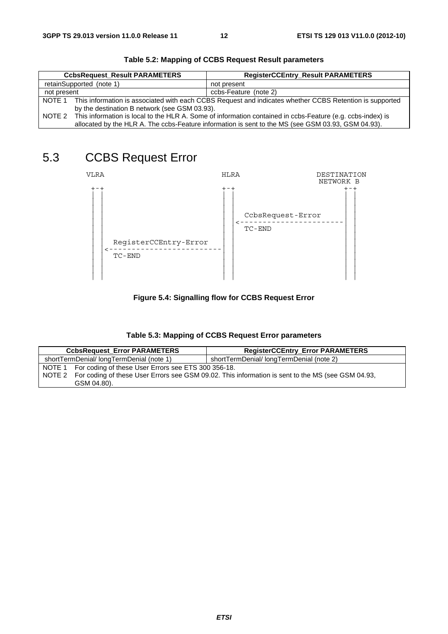|                                                                                                    | <b>CcbsRequest_Result PARAMETERS</b>                                                                              | <b>RegisterCCEntry_Result PARAMETERS</b> |  |
|----------------------------------------------------------------------------------------------------|-------------------------------------------------------------------------------------------------------------------|------------------------------------------|--|
|                                                                                                    | retainSupported (note 1)                                                                                          | not present                              |  |
| ccbs-Feature (note 2)<br>not present                                                               |                                                                                                                   |                                          |  |
|                                                                                                    | NOTE 1 This information is associated with each CCBS Request and indicates whether CCBS Retention is supported    |                                          |  |
|                                                                                                    | by the destination B network (see GSM 03.93).                                                                     |                                          |  |
|                                                                                                    | NOTE 2 This information is local to the HLR A. Some of information contained in ccbs-Feature (e.g. ccbs-index) is |                                          |  |
| allocated by the HLR A. The ccbs-Feature information is sent to the MS (see GSM 03.93, GSM 04.93). |                                                                                                                   |                                          |  |

**Table 5.2: Mapping of CCBS Request Result parameters** 

## 5.3 CCBS Request Error



**Figure 5.4: Signalling flow for CCBS Request Error** 

| Table 5.3: Mapping of CCBS Request Error parameters |
|-----------------------------------------------------|
|-----------------------------------------------------|

| <b>CcbsRequest_Error PARAMETERS</b>                        | <b>RegisterCCEntry_Error PARAMETERS</b>                                                                  |
|------------------------------------------------------------|----------------------------------------------------------------------------------------------------------|
| shortTermDenial/longTermDenial (note 1)                    | shortTermDenial/longTermDenial (note 2)                                                                  |
| NOTE 1 For coding of these User Errors see ETS 300 356-18. |                                                                                                          |
|                                                            | NOTE 2 For coding of these User Errors see GSM 09.02. This information is sent to the MS (see GSM 04.93, |
| GSM 04.80).                                                |                                                                                                          |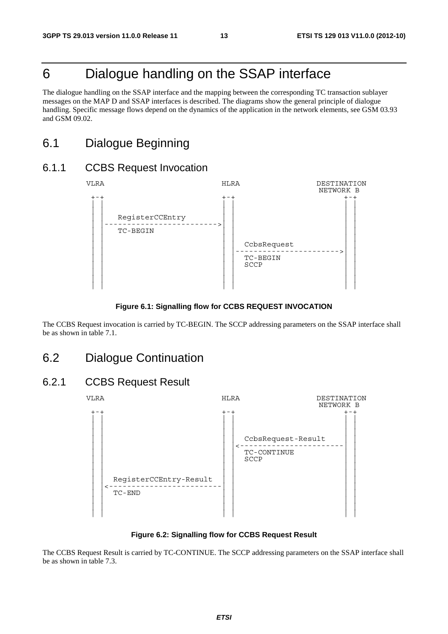## 6 Dialogue handling on the SSAP interface

The dialogue handling on the SSAP interface and the mapping between the corresponding TC transaction sublayer messages on the MAP D and SSAP interfaces is described. The diagrams show the general principle of dialogue handling. Specific message flows depend on the dynamics of the application in the network elements, see GSM 03.93 and GSM 09.02.

## 6.1 Dialogue Beginning

### 6.1.1 CCBS Request Invocation



#### **Figure 6.1: Signalling flow for CCBS REQUEST INVOCATION**

The CCBS Request invocation is carried by TC-BEGIN. The SCCP addressing parameters on the SSAP interface shall be as shown in table 7.1.

### 6.2 Dialogue Continuation

### 6.2.1 CCBS Request Result



**Figure 6.2: Signalling flow for CCBS Request Result** 

The CCBS Request Result is carried by TC-CONTINUE. The SCCP addressing parameters on the SSAP interface shall be as shown in table 7.3.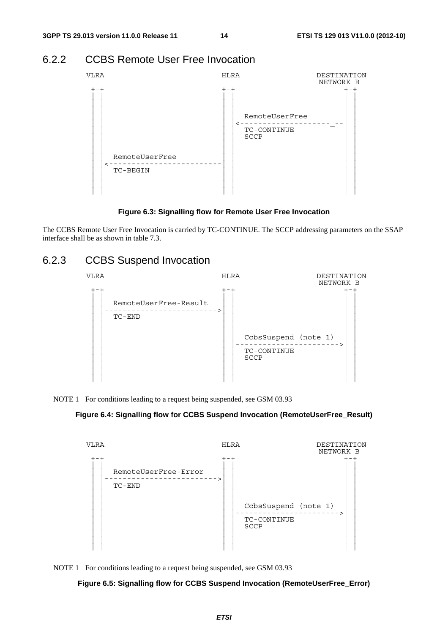### 6.2.2 CCBS Remote User Free Invocation



**Figure 6.3: Signalling flow for Remote User Free Invocation** 

The CCBS Remote User Free Invocation is carried by TC-CONTINUE. The SCCP addressing parameters on the SSAP interface shall be as shown in table 7.3.

## 6.2.3 CCBS Suspend Invocation

| <b>VLRA</b> |                                    | <b>HLRA</b> |                                             | DESTINATION<br>NETWORK B |
|-------------|------------------------------------|-------------|---------------------------------------------|--------------------------|
|             | RemoteUserFree-Result<br>$TC$ -END | $+-+$       | CcbsSuspend (note 1)<br>TC-CONTINUE<br>SCCP | - - - - - - - >          |

NOTE 1 For conditions leading to a request being suspended, see GSM 03.93

#### **Figure 6.4: Signalling flow for CCBS Suspend Invocation (RemoteUserFree\_Result)**





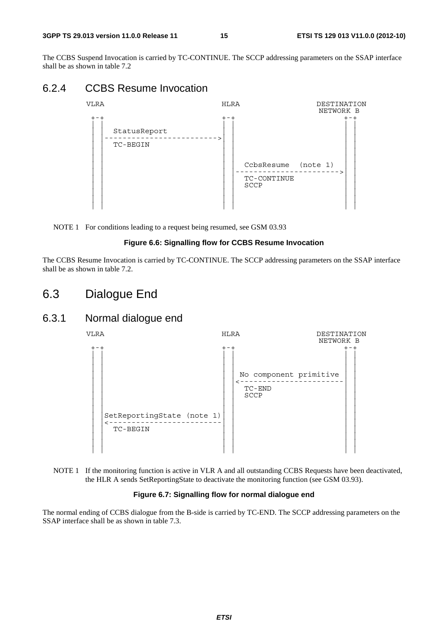#### **3GPP TS 29.013 version 11.0.0 Release 11 15 ETSI TS 129 013 V11.0.0 (2012-10)**

The CCBS Suspend Invocation is carried by TC-CONTINUE. The SCCP addressing parameters on the SSAP interface shall be as shown in table 7.2

### 6.2.4 CCBS Resume Invocation



NOTE 1 For conditions leading to a request being resumed, see GSM 03.93

#### **Figure 6.6: Signalling flow for CCBS Resume Invocation**

The CCBS Resume Invocation is carried by TC-CONTINUE. The SCCP addressing parameters on the SSAP interface shall be as shown in table 7.2.

## 6.3 Dialogue End

## 6.3.1 Normal dialogue end





#### **Figure 6.7: Signalling flow for normal dialogue end**

The normal ending of CCBS dialogue from the B-side is carried by TC-END. The SCCP addressing parameters on the SSAP interface shall be as shown in table 7.3.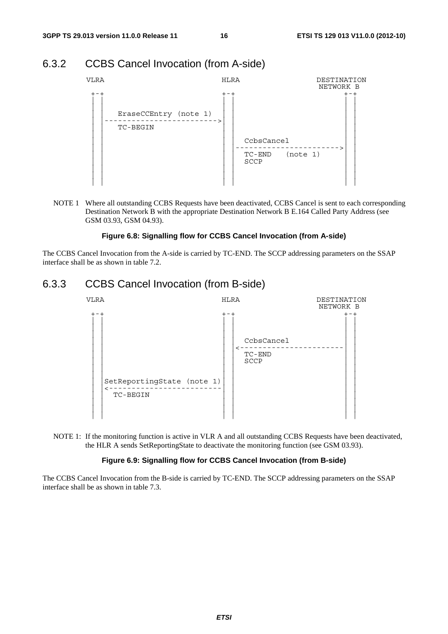### 6.3.2 CCBS Cancel Invocation (from A-side)



NOTE 1 Where all outstanding CCBS Requests have been deactivated, CCBS Cancel is sent to each corresponding Destination Network B with the appropriate Destination Network B E.164 Called Party Address (see GSM 03.93, GSM 04.93).

#### **Figure 6.8: Signalling flow for CCBS Cancel Invocation (from A-side)**

The CCBS Cancel Invocation from the A-side is carried by TC-END. The SCCP addressing parameters on the SSAP interface shall be as shown in table 7.2.

### 6.3.3 CCBS Cancel Invocation (from B-side)



NOTE 1: If the monitoring function is active in VLR A and all outstanding CCBS Requests have been deactivated, the HLR A sends SetReportingState to deactivate the monitoring function (see GSM 03.93).

#### **Figure 6.9: Signalling flow for CCBS Cancel Invocation (from B-side)**

The CCBS Cancel Invocation from the B-side is carried by TC-END. The SCCP addressing parameters on the SSAP interface shall be as shown in table 7.3.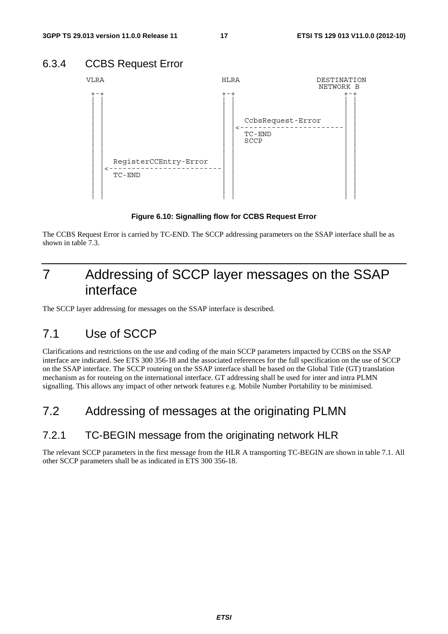## 6.3.4 CCBS Request Error



**Figure 6.10: Signalling flow for CCBS Request Error** 

The CCBS Request Error is carried by TC-END. The SCCP addressing parameters on the SSAP interface shall be as shown in table 7.3.

## 7 Addressing of SCCP layer messages on the SSAP interface

The SCCP layer addressing for messages on the SSAP interface is described.

## 7.1 Use of SCCP

Clarifications and restrictions on the use and coding of the main SCCP parameters impacted by CCBS on the SSAP interface are indicated. See ETS 300 356-18 and the associated references for the full specification on the use of SCCP on the SSAP interface. The SCCP routeing on the SSAP interface shall be based on the Global Title (GT) translation mechanism as for routeing on the international interface. GT addressing shall be used for inter and intra PLMN signalling. This allows any impact of other network features e.g. Mobile Number Portability to be minimised.

## 7.2 Addressing of messages at the originating PLMN

### 7.2.1 TC-BEGIN message from the originating network HLR

The relevant SCCP parameters in the first message from the HLR A transporting TC-BEGIN are shown in table 7.1. All other SCCP parameters shall be as indicated in ETS 300 356-18.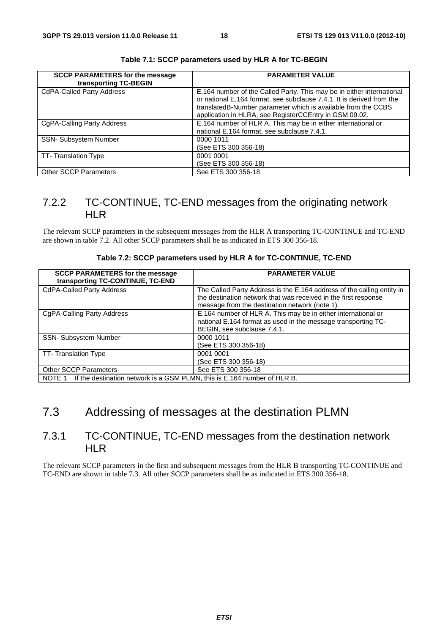| <b>SCCP PARAMETERS for the message</b><br>transporting TC-BEGIN | <b>PARAMETER VALUE</b>                                                                                                                                                                                                                                                    |
|-----------------------------------------------------------------|---------------------------------------------------------------------------------------------------------------------------------------------------------------------------------------------------------------------------------------------------------------------------|
| <b>CdPA-Called Party Address</b>                                | E.164 number of the Called Party. This may be in either international<br>or national E.164 format, see subclause 7.4.1. It is derived from the<br>translatedB-Number parameter which is available from the CCBS<br>application in HLRA, see RegisterCCEntry in GSM 09.02. |
| CgPA-Calling Party Address                                      | E.164 number of HLR A. This may be in either international or<br>national E.164 format, see subclause 7.4.1.                                                                                                                                                              |
| <b>SSN- Subsystem Number</b>                                    | 0000 1011<br>(See ETS 300 356-18)                                                                                                                                                                                                                                         |
| TT-Translation Type                                             | 0001 0001<br>(See ETS 300 356-18)                                                                                                                                                                                                                                         |
| <b>Other SCCP Parameters</b>                                    | See ETS 300 356-18                                                                                                                                                                                                                                                        |

**Table 7.1: SCCP parameters used by HLR A for TC-BEGIN** 

## 7.2.2 TC-CONTINUE, TC-END messages from the originating network HLR

The relevant SCCP parameters in the subsequent messages from the HLR A transporting TC-CONTINUE and TC-END are shown in table 7.2. All other SCCP parameters shall be as indicated in ETS 300 356-18.

| <b>SCCP PARAMETERS for the message</b><br>transporting TC-CONTINUE, TC-END      | <b>PARAMETER VALUE</b>                                                                                                                                                                      |  |
|---------------------------------------------------------------------------------|---------------------------------------------------------------------------------------------------------------------------------------------------------------------------------------------|--|
| <b>CdPA-Called Party Address</b>                                                | The Called Party Address is the E.164 address of the calling entity in<br>the destination network that was received in the first response<br>message from the destination network (note 1). |  |
| CgPA-Calling Party Address                                                      | E.164 number of HLR A. This may be in either international or<br>national E.164 format as used in the message transporting TC-<br>BEGIN, see subclause 7.4.1.                               |  |
| <b>SSN- Subsystem Number</b>                                                    | 0000 1011<br>(See ETS 300 356-18)                                                                                                                                                           |  |
| TT-Translation Type                                                             | 0001 0001<br>(See ETS 300 356-18)                                                                                                                                                           |  |
| <b>Other SCCP Parameters</b>                                                    | See ETS 300 356-18                                                                                                                                                                          |  |
| NOTE 1 If the destination network is a GSM PLMN, this is E.164 number of HLR B. |                                                                                                                                                                                             |  |

## 7.3 Addressing of messages at the destination PLMN

### 7.3.1 TC-CONTINUE, TC-END messages from the destination network HLR

The relevant SCCP parameters in the first and subsequent messages from the HLR B transporting TC-CONTINUE and TC-END are shown in table 7.3. All other SCCP parameters shall be as indicated in ETS 300 356-18.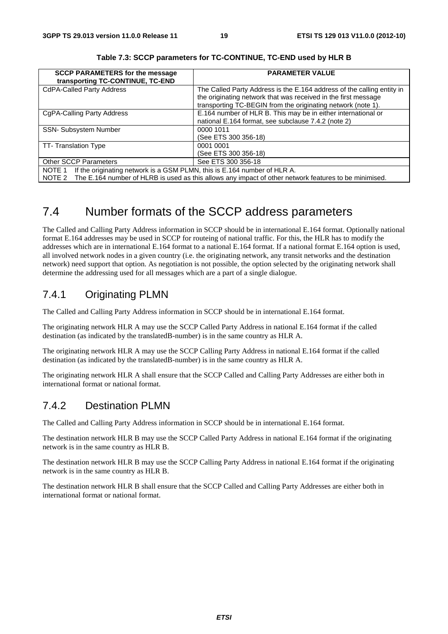| <b>SCCP PARAMETERS for the message</b><br>transporting TC-CONTINUE, TC-END                                                                                                                      | <b>PARAMETER VALUE</b>                                                                                                                                                                                   |  |  |  |
|-------------------------------------------------------------------------------------------------------------------------------------------------------------------------------------------------|----------------------------------------------------------------------------------------------------------------------------------------------------------------------------------------------------------|--|--|--|
| <b>CdPA-Called Party Address</b>                                                                                                                                                                | The Called Party Address is the E.164 address of the calling entity in<br>the originating network that was received in the first message<br>transporting TC-BEGIN from the originating network (note 1). |  |  |  |
| CgPA-Calling Party Address                                                                                                                                                                      | E.164 number of HLR B. This may be in either international or<br>national E.164 format, see subclause 7.4.2 (note 2)                                                                                     |  |  |  |
| <b>SSN- Subsystem Number</b>                                                                                                                                                                    | 0000 1011<br>(See ETS 300 356-18)                                                                                                                                                                        |  |  |  |
| TT-Translation Type                                                                                                                                                                             | 0001 0001<br>(See ETS 300 356-18)                                                                                                                                                                        |  |  |  |
| <b>Other SCCP Parameters</b>                                                                                                                                                                    | See ETS 300 356-18                                                                                                                                                                                       |  |  |  |
| NOTE 1 If the originating network is a GSM PLMN, this is E.164 number of HLR A.<br>NOTE 2 The E.164 number of HLRB is used as this allows any impact of other network features to be minimised. |                                                                                                                                                                                                          |  |  |  |

**Table 7.3: SCCP parameters for TC-CONTINUE, TC-END used by HLR B** 

## 7.4 Number formats of the SCCP address parameters

The Called and Calling Party Address information in SCCP should be in international E.164 format. Optionally national format E.164 addresses may be used in SCCP for routeing of national traffic. For this, the HLR has to modify the addresses which are in international E.164 format to a national E.164 format. If a national format E.164 option is used, all involved network nodes in a given country (i.e. the originating network, any transit networks and the destination network) need support that option. As negotiation is not possible, the option selected by the originating network shall determine the addressing used for all messages which are a part of a single dialogue.

### 7.4.1 Originating PLMN

The Called and Calling Party Address information in SCCP should be in international E.164 format.

The originating network HLR A may use the SCCP Called Party Address in national E.164 format if the called destination (as indicated by the translatedB-number) is in the same country as HLR A.

The originating network HLR A may use the SCCP Calling Party Address in national E.164 format if the called destination (as indicated by the translatedB-number) is in the same country as HLR A.

The originating network HLR A shall ensure that the SCCP Called and Calling Party Addresses are either both in international format or national format.

## 7.4.2 Destination PLMN

The Called and Calling Party Address information in SCCP should be in international E.164 format.

The destination network HLR B may use the SCCP Called Party Address in national E.164 format if the originating network is in the same country as HLR B.

The destination network HLR B may use the SCCP Calling Party Address in national E.164 format if the originating network is in the same country as HLR B.

The destination network HLR B shall ensure that the SCCP Called and Calling Party Addresses are either both in international format or national format.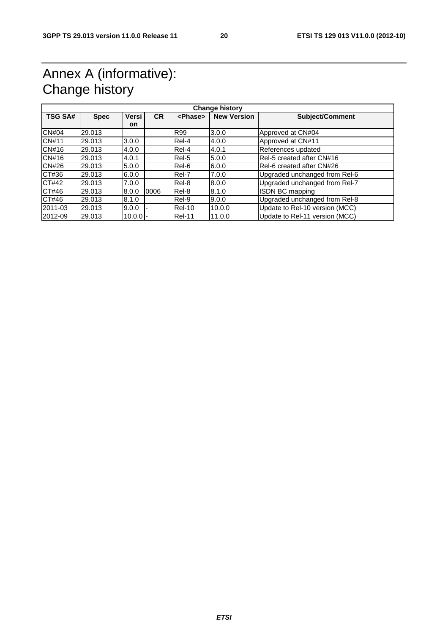## Annex A (informative): Change history

| <b>TSG SA#</b> | <b>Spec</b> | Versi      | <b>CR</b> | <phase></phase> | <b>New Version</b> | Subject/Comment                |
|----------------|-------------|------------|-----------|-----------------|--------------------|--------------------------------|
|                |             | on         |           |                 |                    |                                |
| <b>CN#04</b>   | 29.013      |            |           | <b>R99</b>      | 3.0.0              | Approved at CN#04              |
| <b>CN#11</b>   | 29.013      | 3.0.0      |           | Rel-4           | 4.0.0              | Approved at CN#11              |
| CN#16          | 29.013      | 4.0.0      |           | Rel-4           | 4.0.1              | References updated             |
| CN#16          | 29.013      | 4.0.1      |           | Rel-5           | 5.0.0              | Rel-5 created after CN#16      |
| <b>CN#26</b>   | 29.013      | 5.0.0      |           | Rel-6           | 6.0.0              | Rel-6 created after CN#26      |
| CT#36          | 29.013      | 6.0.0      |           | Rel-7           | 7.0.0              | Upgraded unchanged from Rel-6  |
| CT#42          | 29.013      | 7.0.0      |           | Rel-8           | 8.0.0              | Upgraded unchanged from Rel-7  |
| CT#46          | 29.013      | 8.0.0      | 0006      | Rel-8           | 8.1.0              | ISDN BC mapping                |
| CT#46          | 29.013      | 8.1.0      |           | Rel-9           | 9.0.0              | Upgraded unchanged from Rel-8  |
| 2011-03        | 29.013      | 9.0.0      |           | Rel-10          | 10.0.0             | Update to Rel-10 version (MCC) |
| 2012-09        | 29.013      | $10.0.0$ - |           | <b>Rel-11</b>   | 11.0.0             | Update to Rel-11 version (MCC) |